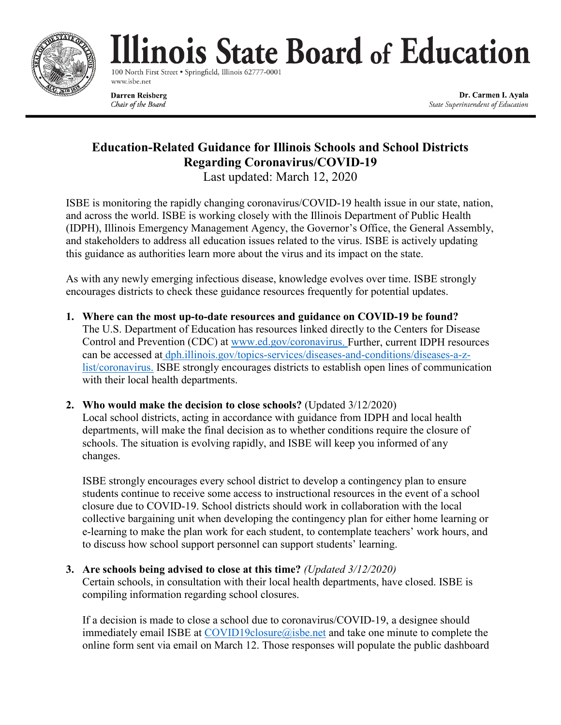

linois State Board of Education 100 North First Street · Springfield, Illinois 62777-0001

**Darren Reisberg** Chair of the Board

www.isbe.net

Dr. Carmen I. Ayala State Superintendent of Education

# **Education-Related Guidance for Illinois Schools and School Districts Regarding Coronavirus/COVID-19**

Last updated: March 12, 2020

ISBE is monitoring the rapidly changing coronavirus/COVID-19 health issue in our state, nation, and across the world. ISBE is working closely with the Illinois Department of Public Health (IDPH), Illinois Emergency Management Agency, the Governor's Office, the General Assembly, and stakeholders to address all education issues related to the virus. ISBE is actively updating this guidance as authorities learn more about the virus and its impact on the state.

As with any newly emerging infectious disease, knowledge evolves over time. ISBE strongly encourages districts to check these guidance resources frequently for potential updates.

- **1. Where can the most up-to-date resources and guidance on COVID-19 be found?**  The U.S. Department of Education has resources linked directly to the Centers for Disease Control and Prevention (CDC) at [www.ed.gov/coronavirus.](https://www.ed.gov/coronavirus) Further, current IDPH resources can be accessed at [dph.illinois.gov/topics-services/diseases-and-conditions/diseases-a-z](http://dph.illinois.gov/topics-services/diseases-and-conditions/diseases-a-z-list/coronavirus)[list/coronavirus.](http://dph.illinois.gov/topics-services/diseases-and-conditions/diseases-a-z-list/coronavirus) ISBE strongly encourages districts to establish open lines of communication with their local health departments.
- **2. Who would make the decision to close schools?** (Updated 3/12/2020) Local school districts, acting in accordance with guidance from IDPH and local health departments, will make the final decision as to whether conditions require the closure of schools. The situation is evolving rapidly, and ISBE will keep you informed of any changes.

ISBE strongly encourages every school district to develop a contingency plan to ensure students continue to receive some access to instructional resources in the event of a school closure due to COVID-19. School districts should work in collaboration with the local collective bargaining unit when developing the contingency plan for either home learning or e-learning to make the plan work for each student, to contemplate teachers' work hours, and to discuss how school support personnel can support students' learning.

**3. Are schools being advised to close at this time?** *(Updated 3/12/2020)*

Certain schools, in consultation with their local health departments, have closed. ISBE is compiling information regarding school closures.

If a decision is made to close a school due to coronavirus/COVID-19, a designee should immediately email ISBE at [COVID19closure@isbe.net](mailto:COVID19closure@isbe.net) and take one minute to complete the online form sent via email on March 12. Those responses will populate the public dashboard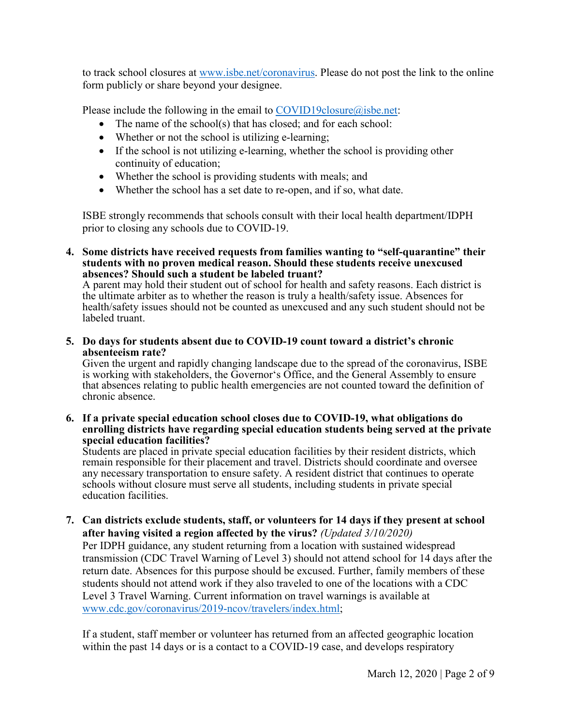to track school closures at [www.isbe.net/coronavirus.](http://www.isbe.net/coronavirus) Please do not post the link to the online form publicly or share beyond your designee.

Please include the following in the email to [COVID19closure@isbe.net:](mailto:COVID19closure@isbe.net)

- The name of the school(s) that has closed; and for each school:
- Whether or not the school is utilizing e-learning;
- If the school is not utilizing e-learning, whether the school is providing other continuity of education;
- Whether the school is providing students with meals; and
- Whether the school has a set date to re-open, and if so, what date.

ISBE strongly recommends that schools consult with their local health department/IDPH prior to closing any schools due to COVID-19.

**4. Some districts have received requests from families wanting to "self-quarantine" their students with no proven medical reason. Should these students receive unexcused absences? Should such a student be labeled truant?**

A parent may hold their student out of school for health and safety reasons. Each district is the ultimate arbiter as to whether the reason is truly a health/safety issue. Absences for health/safety issues should not be counted as unexcused and any such student should not be labeled truant.

**5. Do days for students absent due to COVID-19 count toward a district's chronic absenteeism rate?** 

Given the urgent and rapidly changing landscape due to the spread of the coronavirus, ISBE is working with stakeholders, the Governor's Office, and the General Assembly to ensure that absences relating to public health emergencies are not counted toward the definition of chronic absence.

**6. If a private special education school closes due to COVID-19, what obligations do enrolling districts have regarding special education students being served at the private special education facilities?** 

Students are placed in private special education facilities by their resident districts, which remain responsible for their placement and travel. Districts should coordinate and oversee any necessary transportation to ensure safety. A resident district that continues to operate schools without closure must serve all students, including students in private special education facilities.

**7. Can districts exclude students, staff, or volunteers for 14 days if they present at school after having visited a region affected by the virus?** *(Updated 3/10/2020)*

Per IDPH guidance, any student returning from a location with sustained widespread transmission (CDC Travel Warning of Level 3) should not attend school for 14 days after the return date. Absences for this purpose should be excused. Further, family members of these students should not attend work if they also traveled to one of the locations with a CDC Level 3 Travel Warning. Current information on travel warnings is available at [www.cdc.gov/coronavirus/2019-ncov/travelers/index.html;](https://www.cdc.gov/coronavirus/2019-ncov/travelers/index.html)

If a student, staff member or volunteer has returned from an affected geographic location within the past 14 days or is a contact to a COVID-19 case, and develops respiratory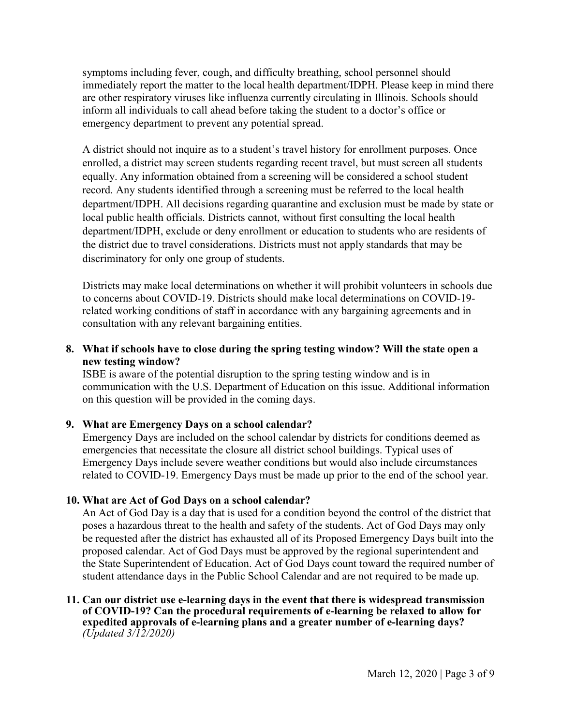symptoms including fever, cough, and difficulty breathing, school personnel should immediately report the matter to the local health department/IDPH. Please keep in mind there are other respiratory viruses like influenza currently circulating in Illinois. Schools should inform all individuals to call ahead before taking the student to a doctor's office or emergency department to prevent any potential spread.

A district should not inquire as to a student's travel history for enrollment purposes. Once enrolled, a district may screen students regarding recent travel, but must screen all students equally. Any information obtained from a screening will be considered a school student record. Any students identified through a screening must be referred to the local health department/IDPH. All decisions regarding quarantine and exclusion must be made by state or local public health officials. Districts cannot, without first consulting the local health department/IDPH, exclude or deny enrollment or education to students who are residents of the district due to travel considerations. Districts must not apply standards that may be discriminatory for only one group of students.

Districts may make local determinations on whether it will prohibit volunteers in schools due to concerns about COVID-19. Districts should make local determinations on COVID-19 related working conditions of staff in accordance with any bargaining agreements and in consultation with any relevant bargaining entities.

## **8. What if schools have to close during the spring testing window? Will the state open a new testing window?**

ISBE is aware of the potential disruption to the spring testing window and is in communication with the U.S. Department of Education on this issue. Additional information on this question will be provided in the coming days.

## **9. What are Emergency Days on a school calendar?**

Emergency Days are included on the school calendar by districts for conditions deemed as emergencies that necessitate the closure all district school buildings. Typical uses of Emergency Days include severe weather conditions but would also include circumstances related to COVID-19. Emergency Days must be made up prior to the end of the school year.

## **10. What are Act of God Days on a school calendar?**

An Act of God Day is a day that is used for a condition beyond the control of the district that poses a hazardous threat to the health and safety of the students. Act of God Days may only be requested after the district has exhausted all of its Proposed Emergency Days built into the proposed calendar. Act of God Days must be approved by the regional superintendent and the State Superintendent of Education. Act of God Days count toward the required number of student attendance days in the Public School Calendar and are not required to be made up.

#### **11. Can our district use e-learning days in the event that there is widespread transmission of COVID-19? Can the procedural requirements of e-learning be relaxed to allow for expedited approvals of e-learning plans and a greater number of e-learning days?** *(Updated 3/12/2020)*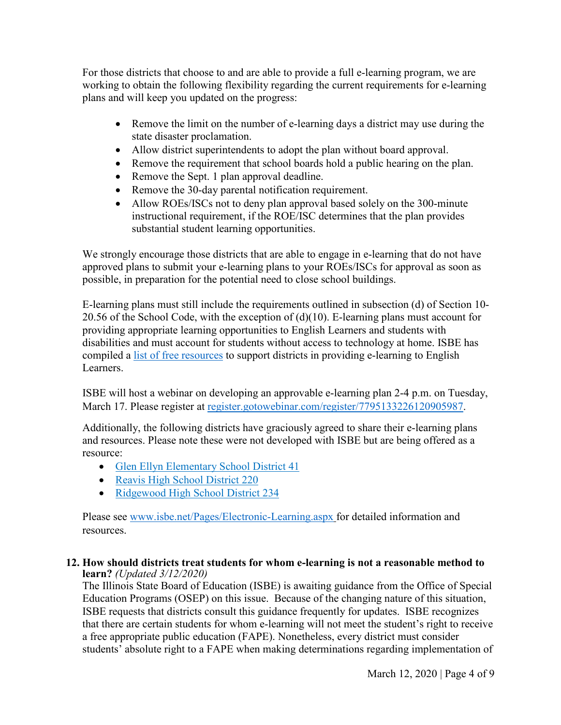For those districts that choose to and are able to provide a full e-learning program, we are working to obtain the following flexibility regarding the current requirements for e-learning plans and will keep you updated on the progress:

- Remove the limit on the number of e-learning days a district may use during the state disaster proclamation.
- Allow district superintendents to adopt the plan without board approval.
- Remove the requirement that school boards hold a public hearing on the plan.
- Remove the Sept. 1 plan approval deadline.
- Remove the 30-day parental notification requirement.
- Allow ROEs/ISCs not to deny plan approval based solely on the 300-minute instructional requirement, if the ROE/ISC determines that the plan provides substantial student learning opportunities.

We strongly encourage those districts that are able to engage in e-learning that do not have approved plans to submit your e-learning plans to your ROEs/ISCs for approval as soon as possible, in preparation for the potential need to close school buildings.

E-learning plans must still include the requirements outlined in subsection (d) of Section 10- 20.56 of the School Code, with the exception of  $(d)(10)$ . E-learning plans must account for providing appropriate learning opportunities to English Learners and students with disabilities and must account for students without access to technology at home. ISBE has compiled a [list of free resources](https://www.isbe.net/Documents/EL-Resources-E-learning-plans.pdf) to support districts in providing e-learning to English Learners.

ISBE will host a webinar on developing an approvable e-learning plan 2-4 p.m. on Tuesday, March 17. Please register at [register.gotowebinar.com/register/7795133226120905987.](https://register.gotowebinar.com/register/7795133226120905987)

Additionally, the following districts have graciously agreed to share their e-learning plans and resources. Please note these were not developed with ISBE but are being offered as a resource:

- [Glen Ellyn Elementary School District 41](https://www.d41.org/elearningplan)
- Reavis [High School District 220](https://sites.google.com/reavisd220.org/elearning/home)
- [Ridgewood High School District 234](https://www.d234.org/academics/elearning-day/)

Please see [www.isbe.net/Pages/Electronic-Learning.aspx](http://www.isbe.net/Pages/Electronic-Learning.aspx) for detailed information and resources.

#### **12. How should districts treat students for whom e-learning is not a reasonable method to learn?** *(Updated 3/12/2020)*

The Illinois State Board of Education (ISBE) is awaiting guidance from the Office of Special Education Programs (OSEP) on this issue. Because of the changing nature of this situation, ISBE requests that districts consult this guidance frequently for updates. ISBE recognizes that there are certain students for whom e-learning will not meet the student's right to receive a free appropriate public education (FAPE). Nonetheless, every district must consider students' absolute right to a FAPE when making determinations regarding implementation of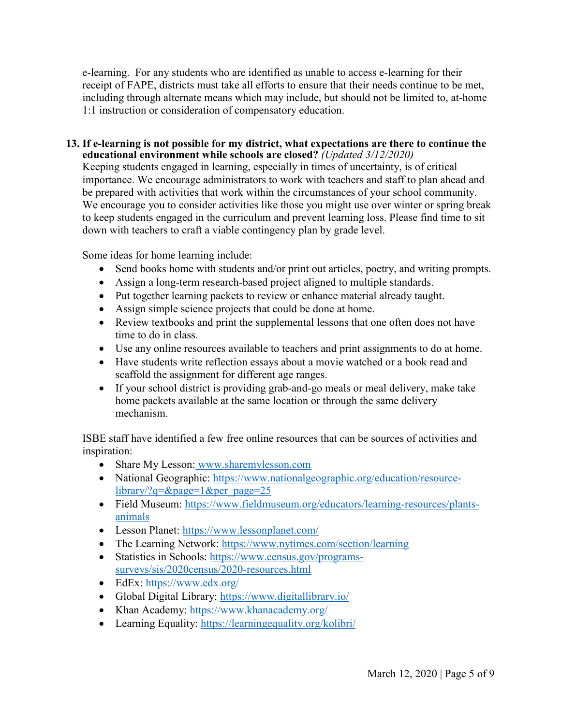e-learning. For any students who are identified as unable to access e-learning for their receipt of FAPE, districts must take all efforts to ensure that their needs continue to be met, including through alternate means which may include, but should not be limited to, at-home 1:1 instruction or consideration of compensatory education.

**13. If e-learning is not possible for my district, what expectations are there to continue the educational environment while schools are closed?** *(Updated 3/12/2020)*

Keeping students engaged in learning, especially in times of uncertainty, is of critical importance. We encourage administrators to work with teachers and staff to plan ahead and be prepared with activities that work within the circumstances of your school community. We encourage you to consider activities like those you might use over winter or spring break to keep students engaged in the curriculum and prevent learning loss. Please find time to sit down with teachers to craft a viable contingency plan by grade level.

Some ideas for home learning include:

- Send books home with students and/or print out articles, poetry, and writing prompts.
- Assign a long-term research-based project aligned to multiple standards.
- Put together learning packets to review or enhance material already taught.
- Assign simple science projects that could be done at home.
- Review textbooks and print the supplemental lessons that one often does not have time to do in class.
- Use any online resources available to teachers and print assignments to do at home.
- Have students write reflection essays about a movie watched or a book read and scaffold the assignment for different age ranges.
- If your school district is providing grab-and-go meals or meal delivery, make take home packets available at the same location or through the same delivery mechanism.

ISBE staff have identified a few free online resources that can be sources of activities and inspiration:

- Share My Lesson: [www.sharemylesson.com](http://www.sharemylesson.com/)
- National Geographic: [https://www.nationalgeographic.org/education/resource](https://www.nationalgeographic.org/education/resource-library/?q=&page=1&per_page=25)[library/?q=&page=1&per\\_page=25](https://www.nationalgeographic.org/education/resource-library/?q=&page=1&per_page=25)
- Field Museum: [https://www.fieldmuseum.org/educators/learning-resources/plants](https://www.fieldmuseum.org/educators/learning-resources/plants-animals)[animals](https://www.fieldmuseum.org/educators/learning-resources/plants-animals)
- Lesson Planet: <https://www.lessonplanet.com/>
- The Learning Network: https://www.nytimes.com/section/learning
- Statistics in Schools: [https://www.census.gov/programs](https://www.census.gov/programs-surveys/sis/2020census/2020-resources.html)[surveys/sis/2020census/2020-resources.html](https://www.census.gov/programs-surveys/sis/2020census/2020-resources.html)
- EdEx: <https://www.edx.org/>
- Global Digital Library: <https://www.digitallibrary.io/>
- Khan Academy: <https://www.khanacademy.org/>
- Learning Equality: <https://learningequality.org/kolibri/>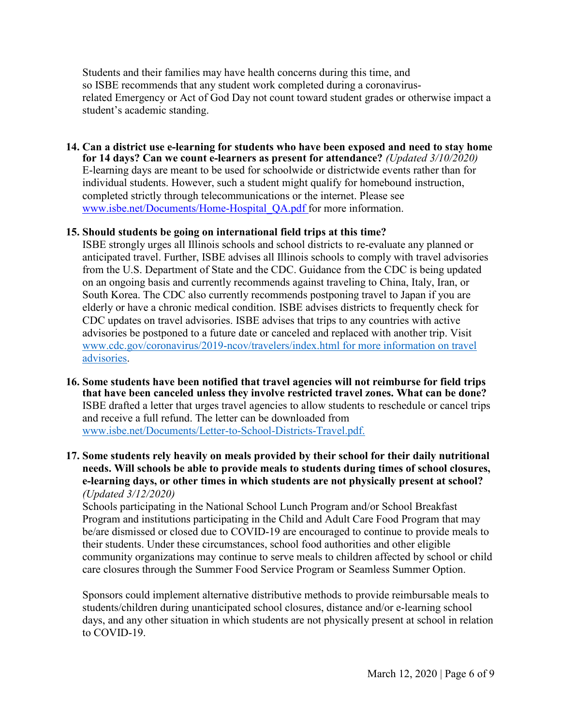Students and their families may have health concerns during this time, and so ISBE recommends that any student work completed during a coronavirusrelated Emergency or Act of God Day not count toward student grades or otherwise impact a student's academic standing.

**14. Can a district use e-learning for students who have been exposed and need to stay home for 14 days? Can we count e-learners as present for attendance?** *(Updated 3/10/2020)* E-learning days are meant to be used for schoolwide or districtwide events rather than for individual students. However, such a student might qualify for homebound instruction, completed strictly through telecommunications or the internet. Please see [www.isbe.net/Documents/Home-Hospital\\_QA.pdf](https://www.isbe.net/Documents/Home-Hospital_QA.pdf) for more information.

#### **15. Should students be going on international field trips at this time?**

ISBE strongly urges all Illinois schools and school districts to re-evaluate any planned or anticipated travel. Further, ISBE advises all Illinois schools to comply with travel advisories from the U.S. Department of State and the CDC. Guidance from the CDC is being updated on an ongoing basis and currently recommends against traveling to China, Italy, Iran, or South Korea. The CDC also currently recommends postponing travel to Japan if you are elderly or have a chronic medical condition. ISBE advises districts to frequently check for CDC updates on travel advisories. ISBE advises that trips to any countries with active advisories be postponed to a future date or canceled and replaced with another trip. Visit [www.cdc.gov/coronavirus/2019-ncov/travelers/index.html](http://www.cdc.gov/coronavirus/2019-ncov/travelers/index.html) for more information on travel advisories.

**16. Some students have been notified that travel agencies will not reimburse for field trips that have been canceled unless they involve restricted travel zones. What can be done?**  ISBE drafted a letter that urges travel agencies to allow students to reschedule or cancel trips and receive a full refund. The letter can be downloaded from [www.isbe.net/Documents/Letter-to-School-Districts-Travel.pdf.](https://www.isbe.net/Documents/Letter-to-School-Districts-Travel.pdf)

## **17. Some students rely heavily on meals provided by their school for their daily nutritional needs. Will schools be able to provide meals to students during times of school closures, e-learning days, or other times in which students are not physically present at school?**  *(Updated 3/12/2020)*

Schools participating in the National School Lunch Program and/or School Breakfast Program and institutions participating in the Child and Adult Care Food Program that may be/are dismissed or closed due to COVID-19 are encouraged to continue to provide meals to their students. Under these circumstances, school food authorities and other eligible community organizations may continue to serve meals to children affected by school or child care closures through the Summer Food Service Program or Seamless Summer Option.

Sponsors could implement alternative distributive methods to provide reimbursable meals to students/children during unanticipated school closures, distance and/or e-learning school days, and any other situation in which students are not physically present at school in relation to COVID-19.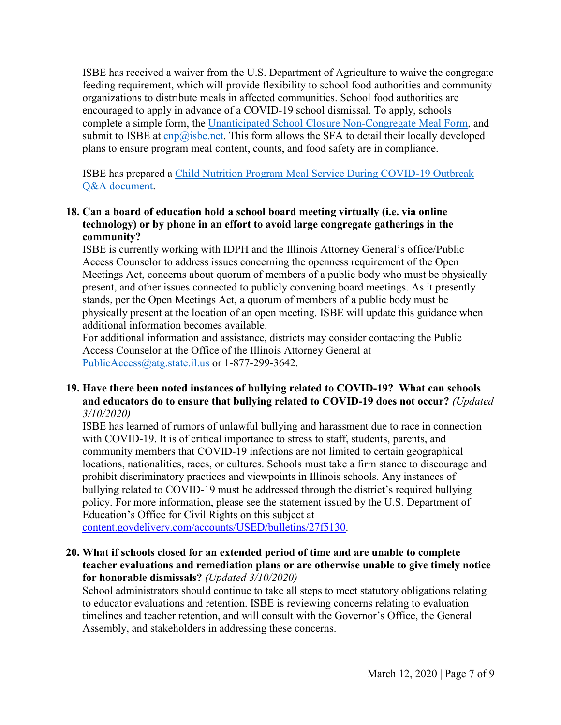ISBE has received a waiver from the U.S. Department of Agriculture to waive the congregate feeding requirement, which will provide flexibility to school food authorities and community organizations to distribute meals in affected communities. School food authorities are encouraged to apply in advance of a COVID-19 school dismissal. To apply, schools complete a simple form, the [Unanticipated School Closure Non-Congregate Meal Form,](https://www.isbe.net/Documents/ISBE-66-98.pdf) and submit to ISBE at  $\frac{cnp}{Q}$  is bend their. This form allows the SFA to detail their locally developed plans to ensure program meal content, counts, and food safety are in compliance.

ISBE has prepared a [Child Nutrition Program Meal Service During COVID-19 Outbreak](https://www.isbe.net/Documents/ISBE-COVID19-QAs.pdf)  [Q&A document.](https://www.isbe.net/Documents/ISBE-COVID19-QAs.pdf)

## **18. Can a board of education hold a school board meeting virtually (i.e. via online technology) or by phone in an effort to avoid large congregate gatherings in the community?**

ISBE is currently working with IDPH and the Illinois Attorney General's office/Public Access Counselor to address issues concerning the openness requirement of the Open Meetings Act, concerns about quorum of members of a public body who must be physically present, and other issues connected to publicly convening board meetings. As it presently stands, per the Open Meetings Act, a quorum of members of a public body must be physically present at the location of an open meeting. ISBE will update this guidance when additional information becomes available.

For additional information and assistance, districts may consider contacting the Public Access Counselor at the Office of the Illinois Attorney General at [PublicAccess@atg.state.il.us](mailto:PublicAccess@atg.state.il.us) or 1-877-299-3642.

#### **19. Have there been noted instances of bullying related to COVID-19? What can schools and educators do to ensure that bullying related to COVID-19 does not occur?** *(Updated 3/10/2020)*

ISBE has learned of rumors of unlawful bullying and harassment due to race in connection with COVID-19. It is of critical importance to stress to staff, students, parents, and community members that COVID-19 infections are not limited to certain geographical locations, nationalities, races, or cultures. Schools must take a firm stance to discourage and prohibit discriminatory practices and viewpoints in Illinois schools. Any instances of bullying related to COVID-19 must be addressed through the district's required bullying policy. For more information, please see the statement issued by the U.S. Department of Education's Office for Civil Rights on this subject at

[content.govdelivery.com/accounts/USED/bulletins/27f5130.](https://content.govdelivery.com/accounts/USED/bulletins/27f5130)

## **20. What if schools closed for an extended period of time and are unable to complete teacher evaluations and remediation plans or are otherwise unable to give timely notice for honorable dismissals?** *(Updated 3/10/2020)*

School administrators should continue to take all steps to meet statutory obligations relating to educator evaluations and retention. ISBE is reviewing concerns relating to evaluation timelines and teacher retention, and will consult with the Governor's Office, the General Assembly, and stakeholders in addressing these concerns.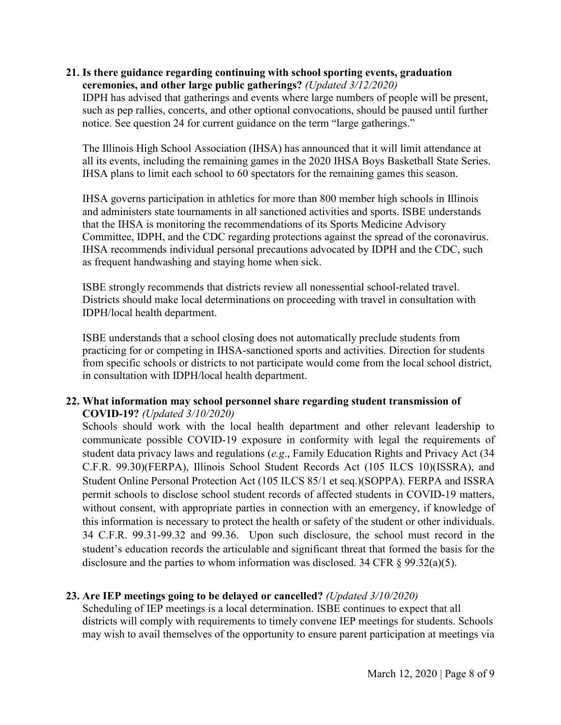#### **21. Is there guidance regarding continuing with school sporting events, graduation ceremonies, and other large public gatherings?** *(Updated 3/12/2020)*

IDPH has advised that gatherings and events where large numbers of people will be present, such as pep rallies, concerts, and other optional convocations, should be paused until further notice. See question 24 for current guidance on the term "large gatherings."

The Illinois High School Association (IHSA) has announced that it will limit attendance at all its events, including the remaining games in the 2020 IHSA Boys Basketball State Series. IHSA plans to limit each school to 60 spectators for the remaining games this season.

IHSA governs participation in athletics for more than 800 member high schools in Illinois and administers state tournaments in all sanctioned activities and sports. ISBE understands that the IHSA is monitoring the recommendations of its Sports Medicine Advisory Committee, IDPH, and the CDC regarding protections against the spread of the coronavirus. IHSA recommends individual personal precautions advocated by IDPH and the CDC, such as frequent handwashing and staying home when sick.

ISBE strongly recommends that districts review all nonessential school-related travel. Districts should make local determinations on proceeding with travel in consultation with IDPH/local health department.

ISBE understands that a school closing does not automatically preclude students from practicing for or competing in IHSA-sanctioned sports and activities. Direction for students from specific schools or districts to not participate would come from the local school district, in consultation with IDPH/local health department.

## **22. What information may school personnel share regarding student transmission of COVID-19?** *(Updated 3/10/2020)*

Schools should work with the local health department and other relevant leadership to communicate possible COVID-19 exposure in conformity with legal the requirements of student data privacy laws and regulations (*e.g*., Family Education Rights and Privacy Act (34 C.F.R. 99.30)(FERPA), Illinois School Student Records Act (105 ILCS 10)(ISSRA), and Student Online Personal Protection Act (105 ILCS 85/1 et seq.)(SOPPA). FERPA and ISSRA permit schools to disclose school student records of affected students in COVID-19 matters, without consent, with appropriate parties in connection with an emergency, if knowledge of this information is necessary to protect the health or safety of the student or other individuals. 34 C.F.R. 99.31-99.32 and 99.36. Upon such disclosure, the school must record in the student's education records the articulable and significant threat that formed the basis for the disclosure and the parties to whom information was disclosed. 34 CFR  $\S$  99.32(a)(5).

## **23. Are IEP meetings going to be delayed or cancelled?** *(Updated 3/10/2020)*

Scheduling of IEP meetings is a local determination. ISBE continues to expect that all districts will comply with requirements to timely convene IEP meetings for students. Schools may wish to avail themselves of the opportunity to ensure parent participation at meetings via